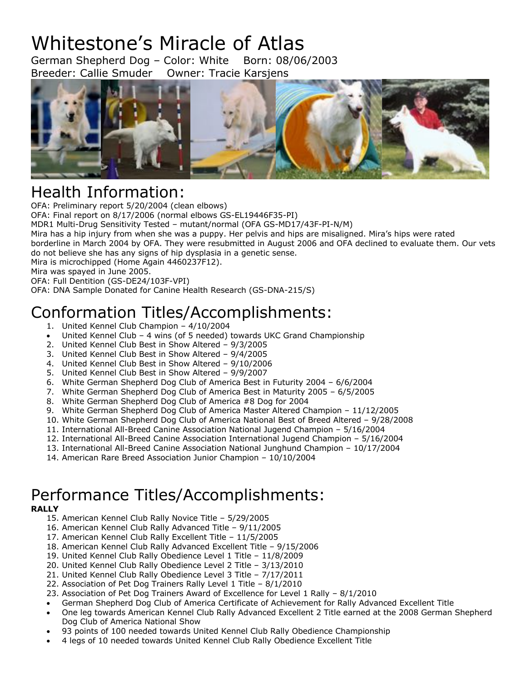# Whitestone's Miracle of Atlas

German Shepherd Dog – Color: White Born: 08/06/2003 Breeder: Callie Smuder Owner: Tracie Karsjens



### Health Information:

OFA: Preliminary report 5/20/2004 (clean elbows) OFA: Final report on 8/17/2006 (normal elbows GS-EL19446F35-PI) MDR1 Multi-Drug Sensitivity Tested – mutant/normal (OFA GS-MD17/43F-PI-N/M) Mira has a hip injury from when she was a puppy. Her pelvis and hips are misaligned. Mira's hips were rated borderline in March 2004 by OFA. They were resubmitted in August 2006 and OFA declined to evaluate them. Our vets do not believe she has any signs of hip dysplasia in a genetic sense. Mira is microchipped (Home Again 4460237F12). Mira was spayed in June 2005. OFA: Full Dentition (GS-DE24/103F-VPI) OFA: DNA Sample Donated for Canine Health Research (GS-DNA-215/S)

## Conformation Titles/Accomplishments:

- 1. United Kennel Club Champion 4/10/2004
- United Kennel Club 4 wins (of 5 needed) towards UKC Grand Championship
- 2. United Kennel Club Best in Show Altered 9/3/2005
- 3. United Kennel Club Best in Show Altered 9/4/2005
- 4. United Kennel Club Best in Show Altered 9/10/2006
- 5. United Kennel Club Best in Show Altered 9/9/2007
- 6. White German Shepherd Dog Club of America Best in Futurity 2004 6/6/2004
- 7. White German Shepherd Dog Club of America Best in Maturity 2005 6/5/2005
- 8. White German Shepherd Dog Club of America #8 Dog for 2004
- 9. White German Shepherd Dog Club of America Master Altered Champion 11/12/2005
- 10. White German Shepherd Dog Club of America National Best of Breed Altered 9/28/2008
- 11. International All-Breed Canine Association National Jugend Champion 5/16/2004
- 12. International All-Breed Canine Association International Jugend Champion 5/16/2004
- 13. International All-Breed Canine Association National Junghund Champion 10/17/2004
- 14. American Rare Breed Association Junior Champion 10/10/2004

### Performance Titles/Accomplishments:

#### **RALLY**

- 15. American Kennel Club Rally Novice Title 5/29/2005
- 16. American Kennel Club Rally Advanced Title 9/11/2005
- 17. American Kennel Club Rally Excellent Title 11/5/2005
- 18. American Kennel Club Rally Advanced Excellent Title 9/15/2006
- 19. United Kennel Club Rally Obedience Level 1 Title 11/8/2009
- 20. United Kennel Club Rally Obedience Level 2 Title 3/13/2010
- 21. United Kennel Club Rally Obedience Level 3 Title 7/17/2011
- 22. Association of Pet Dog Trainers Rally Level 1 Title 8/1/2010
- 23. Association of Pet Dog Trainers Award of Excellence for Level 1 Rally 8/1/2010
- German Shepherd Dog Club of America Certificate of Achievement for Rally Advanced Excellent Title
- One leg towards American Kennel Club Rally Advanced Excellent 2 Title earned at the 2008 German Shepherd Dog Club of America National Show
- 93 points of 100 needed towards United Kennel Club Rally Obedience Championship
- 4 legs of 10 needed towards United Kennel Club Rally Obedience Excellent Title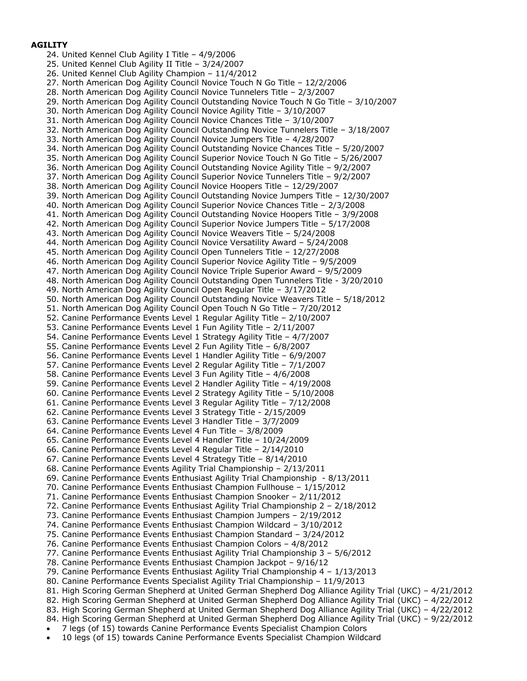#### **AGILITY**

24. United Kennel Club Agility I Title – 4/9/2006 25. United Kennel Club Agility II Title – 3/24/2007 26. United Kennel Club Agility Champion – 11/4/2012 27. North American Dog Agility Council Novice Touch N Go Title – 12/2/2006 28. North American Dog Agility Council Novice Tunnelers Title – 2/3/2007 29. North American Dog Agility Council Outstanding Novice Touch N Go Title – 3/10/2007 30. North American Dog Agility Council Novice Agility Title – 3/10/2007 31. North American Dog Agility Council Novice Chances Title – 3/10/2007 32. North American Dog Agility Council Outstanding Novice Tunnelers Title – 3/18/2007 33. North American Dog Agility Council Novice Jumpers Title – 4/28/2007 34. North American Dog Agility Council Outstanding Novice Chances Title – 5/20/2007 35. North American Dog Agility Council Superior Novice Touch N Go Title – 5/26/2007 36. North American Dog Agility Council Outstanding Novice Agility Title – 9/2/2007 37. North American Dog Agility Council Superior Novice Tunnelers Title – 9/2/2007 38. North American Dog Agility Council Novice Hoopers Title – 12/29/2007 39. North American Dog Agility Council Outstanding Novice Jumpers Title – 12/30/2007 40. North American Dog Agility Council Superior Novice Chances Title – 2/3/2008 41. North American Dog Agility Council Outstanding Novice Hoopers Title – 3/9/2008 42. North American Dog Agility Council Superior Novice Jumpers Title – 5/17/2008 43. North American Dog Agility Council Novice Weavers Title – 5/24/2008 44. North American Dog Agility Council Novice Versatility Award – 5/24/2008 45. North American Dog Agility Council Open Tunnelers Title – 12/27/2008 46. North American Dog Agility Council Superior Novice Agility Title – 9/5/2009 47. North American Dog Agility Council Novice Triple Superior Award – 9/5/2009 48. North American Dog Agility Council Outstanding Open Tunnelers Title - 3/20/2010 49. North American Dog Agility Council Open Regular Title – 3/17/2012 50. North American Dog Agility Council Outstanding Novice Weavers Title – 5/18/2012 51. North American Dog Agility Council Open Touch N Go Title – 7/20/2012 52. Canine Performance Events Level 1 Regular Agility Title – 2/10/2007 53. Canine Performance Events Level 1 Fun Agility Title – 2/11/2007 54. Canine Performance Events Level 1 Strategy Agility Title – 4/7/2007 55. Canine Performance Events Level 2 Fun Agility Title – 6/8/2007 56. Canine Performance Events Level 1 Handler Agility Title – 6/9/2007 57. Canine Performance Events Level 2 Regular Agility Title – 7/1/2007 58. Canine Performance Events Level 3 Fun Agility Title – 4/6/2008 59. Canine Performance Events Level 2 Handler Agility Title – 4/19/2008 60. Canine Performance Events Level 2 Strategy Agility Title – 5/10/2008 61. Canine Performance Events Level 3 Regular Agility Title – 7/12/2008 62. Canine Performance Events Level 3 Strategy Title - 2/15/2009 63. Canine Performance Events Level 3 Handler Title – 3/7/2009 64. Canine Performance Events Level 4 Fun Title – 3/8/2009 65. Canine Performance Events Level 4 Handler Title – 10/24/2009 66. Canine Performance Events Level 4 Regular Title – 2/14/2010 67. Canine Performance Events Level 4 Strategy Title – 8/14/2010 68. Canine Performance Events Agility Trial Championship – 2/13/2011 69. Canine Performance Events Enthusiast Agility Trial Championship - 8/13/2011 70. Canine Performance Events Enthusiast Champion Fullhouse – 1/15/2012 71. Canine Performance Events Enthusiast Champion Snooker – 2/11/2012 72. Canine Performance Events Enthusiast Agility Trial Championship 2 – 2/18/2012 73. Canine Performance Events Enthusiast Champion Jumpers – 2/19/2012 74. Canine Performance Events Enthusiast Champion Wildcard – 3/10/2012 75. Canine Performance Events Enthusiast Champion Standard – 3/24/2012 76. Canine Performance Events Enthusiast Champion Colors – 4/8/2012 77. Canine Performance Events Enthusiast Agility Trial Championship 3 – 5/6/2012 78. Canine Performance Events Enthusiast Champion Jackpot – 9/16/12 79. Canine Performance Events Enthusiast Agility Trial Championship 4 – 1/13/2013 80. Canine Performance Events Specialist Agility Trial Championship – 11/9/2013 81. High Scoring German Shepherd at United German Shepherd Dog Alliance Agility Trial (UKC) – 4/21/2012 82. High Scoring German Shepherd at United German Shepherd Dog Alliance Agility Trial (UKC) – 4/22/2012 83. High Scoring German Shepherd at United German Shepherd Dog Alliance Agility Trial (UKC) – 4/22/2012 84. High Scoring German Shepherd at United German Shepherd Dog Alliance Agility Trial (UKC) – 9/22/2012 • 7 legs (of 15) towards Canine Performance Events Specialist Champion Colors

• 10 legs (of 15) towards Canine Performance Events Specialist Champion Wildcard